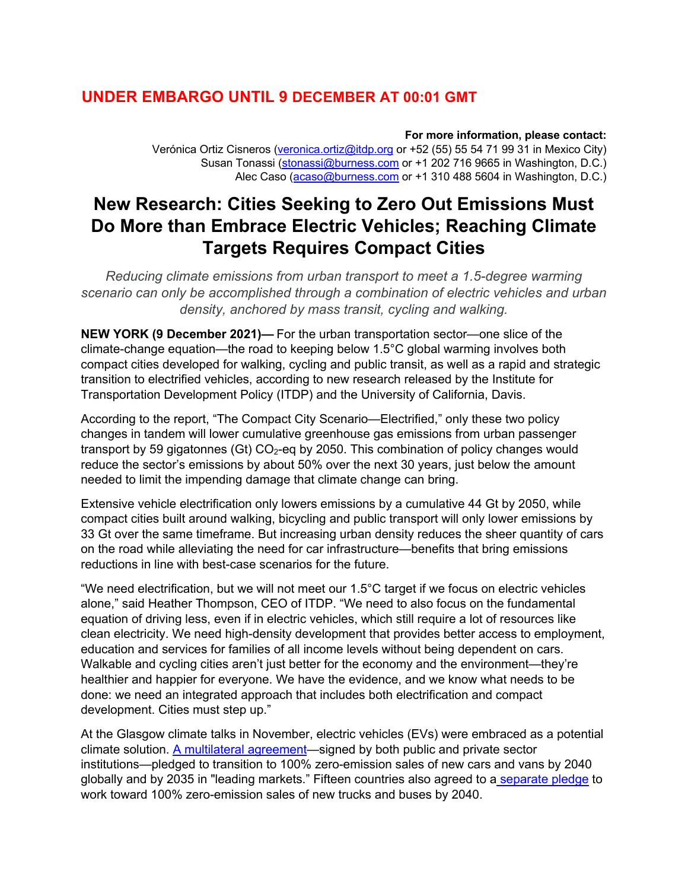## **UNDER EMBARGO UNTIL 9 DECEMBER AT 00:01 GMT**

#### **For more information, please contact:**

Verónica Ortiz Cisneros (veronica.ortiz@itdp.org or +52 (55) 55 54 71 99 31 in Mexico City) Susan Tonassi (stonassi@burness.com or +1 202 716 9665 in Washington, D.C.) Alec Caso (acaso@burness.com or +1 310 488 5604 in Washington, D.C.)

# **New Research: Cities Seeking to Zero Out Emissions Must Do More than Embrace Electric Vehicles; Reaching Climate Targets Requires Compact Cities**

*Reducing climate emissions from urban transport to meet a 1.5-degree warming scenario can only be accomplished through a combination of electric vehicles and urban density, anchored by mass transit, cycling and walking.*

**NEW YORK (9 December 2021)—** For the urban transportation sector—one slice of the climate-change equation—the road to keeping below 1.5°C global warming involves both compact cities developed for walking, cycling and public transit, as well as a rapid and strategic transition to electrified vehicles, according to new research released by the Institute for Transportation Development Policy (ITDP) and the University of California, Davis.

According to the report, "The Compact City Scenario—Electrified," only these two policy changes in tandem will lower cumulative greenhouse gas emissions from urban passenger transport by 59 gigatonnes (Gt)  $CO<sub>2</sub>$ -eg by 2050. This combination of policy changes would reduce the sector's emissions by about 50% over the next 30 years, just below the amount needed to limit the impending damage that climate change can bring.

Extensive vehicle electrification only lowers emissions by a cumulative 44 Gt by 2050, while compact cities built around walking, bicycling and public transport will only lower emissions by 33 Gt over the same timeframe. But increasing urban density reduces the sheer quantity of cars on the road while alleviating the need for car infrastructure—benefits that bring emissions reductions in line with best-case scenarios for the future.

"We need electrification, but we will not meet our 1.5°C target if we focus on electric vehicles alone," said Heather Thompson, CEO of ITDP. "We need to also focus on the fundamental equation of driving less, even if in electric vehicles, which still require a lot of resources like clean electricity. We need high-density development that provides better access to employment, education and services for families of all income levels without being dependent on cars. Walkable and cycling cities aren't just better for the economy and the environment—they're healthier and happier for everyone. We have the evidence, and we know what needs to be done: we need an integrated approach that includes both electrification and compact development. Cities must step up."

At the Glasgow climate talks in November, electric vehicles (EVs) were embraced as a potential climate solution. A multilateral agreement—signed by both public and private sector institutions—pledged to transition to 100% zero-emission sales of new cars and vans by 2040 globally and by 2035 in "leading markets." Fifteen countries also agreed to a separate pledge to work toward 100% zero-emission sales of new trucks and buses by 2040.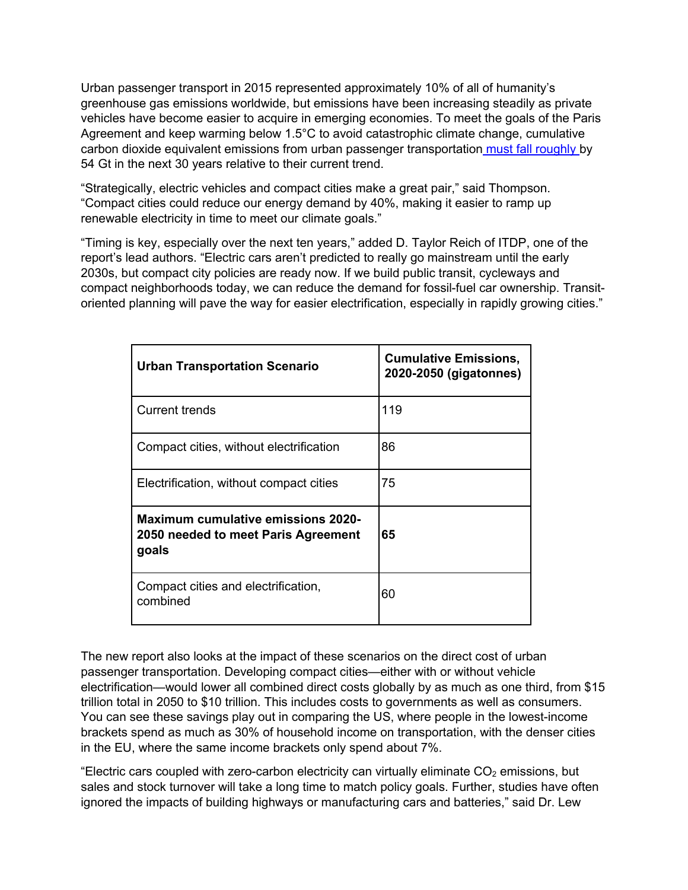Urban passenger transport in 2015 represented approximately 10% of all of humanity's greenhouse gas emissions worldwide, but emissions have been increasing steadily as private vehicles have become easier to acquire in emerging economies. To meet the goals of the Paris Agreement and keep warming below 1.5°C to avoid catastrophic climate change, cumulative carbon dioxide equivalent emissions from urban passenger transportation must fall roughly by 54 Gt in the next 30 years relative to their current trend.

"Strategically, electric vehicles and compact cities make a great pair," said Thompson. "Compact cities could reduce our energy demand by 40%, making it easier to ramp up renewable electricity in time to meet our climate goals."

"Timing is key, especially over the next ten years," added D. Taylor Reich of ITDP, one of the report's lead authors. "Electric cars aren't predicted to really go mainstream until the early 2030s, but compact city policies are ready now. If we build public transit, cycleways and compact neighborhoods today, we can reduce the demand for fossil-fuel car ownership. Transitoriented planning will pave the way for easier electrification, especially in rapidly growing cities."

| <b>Urban Transportation Scenario</b>                                                      | <b>Cumulative Emissions,</b><br>2020-2050 (gigatonnes) |
|-------------------------------------------------------------------------------------------|--------------------------------------------------------|
| <b>Current trends</b>                                                                     | 119                                                    |
| Compact cities, without electrification                                                   | 86                                                     |
| Electrification, without compact cities                                                   | 75                                                     |
| <b>Maximum cumulative emissions 2020-</b><br>2050 needed to meet Paris Agreement<br>goals | 65                                                     |
| Compact cities and electrification,<br>combined                                           | 60                                                     |

The new report also looks at the impact of these scenarios on the direct cost of urban passenger transportation. Developing compact cities—either with or without vehicle electrification—would lower all combined direct costs globally by as much as one third, from \$15 trillion total in 2050 to \$10 trillion. This includes costs to governments as well as consumers. You can see these savings play out in comparing the US, where people in the lowest-income brackets spend as much as 30% of household income on transportation, with the denser cities in the EU, where the same income brackets only spend about 7%.

"Electric cars coupled with zero-carbon electricity can virtually eliminate  $CO<sub>2</sub>$  emissions, but sales and stock turnover will take a long time to match policy goals. Further, studies have often ignored the impacts of building highways or manufacturing cars and batteries," said Dr. Lew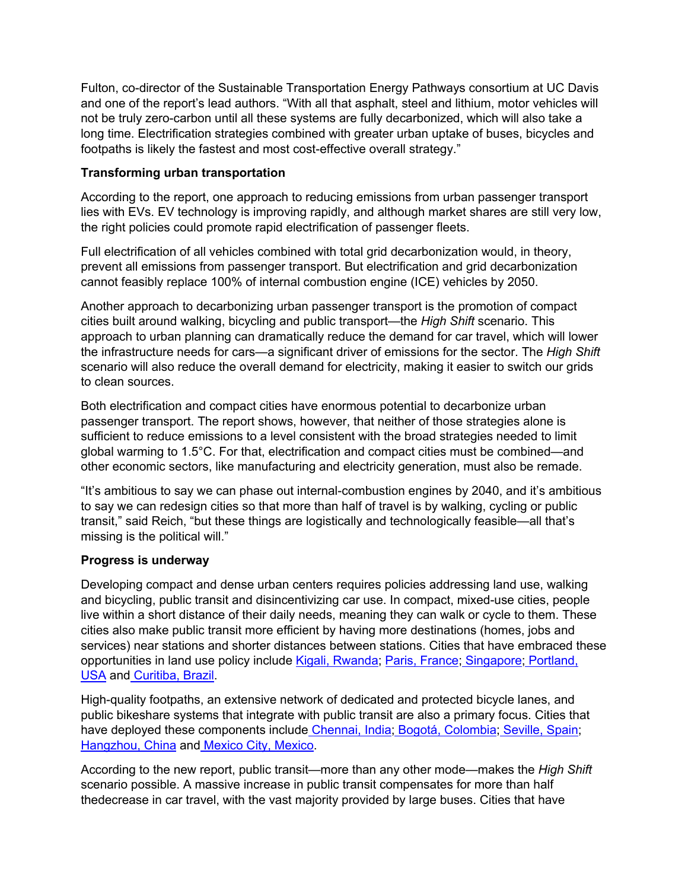Fulton, co-director of the Sustainable Transportation Energy Pathways consortium at UC Davis and one of the report's lead authors. "With all that asphalt, steel and lithium, motor vehicles will not be truly zero-carbon until all these systems are fully decarbonized, which will also take a long time. Electrification strategies combined with greater urban uptake of buses, bicycles and footpaths is likely the fastest and most cost-effective overall strategy."

#### **Transforming urban transportation**

According to the report, one approach to reducing emissions from urban passenger transport lies with EVs. EV technology is improving rapidly, and although market shares are still very low, the right policies could promote rapid electrification of passenger fleets.

Full electrification of all vehicles combined with total grid decarbonization would, in theory, prevent all emissions from passenger transport. But electrification and grid decarbonization cannot feasibly replace 100% of internal combustion engine (ICE) vehicles by 2050.

Another approach to decarbonizing urban passenger transport is the promotion of compact cities built around walking, bicycling and public transport—the *High Shift* scenario. This approach to urban planning can dramatically reduce the demand for car travel, which will lower the infrastructure needs for cars—a significant driver of emissions for the sector. The *High Shift*  scenario will also reduce the overall demand for electricity, making it easier to switch our grids to clean sources.

Both electrification and compact cities have enormous potential to decarbonize urban passenger transport. The report shows, however, that neither of those strategies alone is sufficient to reduce emissions to a level consistent with the broad strategies needed to limit global warming to 1.5°C. For that, electrification and compact cities must be combined—and other economic sectors, like manufacturing and electricity generation, must also be remade.

"It's ambitious to say we can phase out internal-combustion engines by 2040, and it's ambitious to say we can redesign cities so that more than half of travel is by walking, cycling or public transit," said Reich, "but these things are logistically and technologically feasible—all that's missing is the political will."

#### **Progress is underway**

Developing compact and dense urban centers requires policies addressing land use, walking and bicycling, public transit and disincentivizing car use. In compact, mixed-use cities, people live within a short distance of their daily needs, meaning they can walk or cycle to them. These cities also make public transit more efficient by having more destinations (homes, jobs and services) near stations and shorter distances between stations. Cities that have embraced these opportunities in land use policy include Kigali, Rwanda; Paris, France; Singapore; Portland, USA and Curitiba, Brazil.

High-quality footpaths, an extensive network of dedicated and protected bicycle lanes, and public bikeshare systems that integrate with public transit are also a primary focus. Cities that have deployed these components include Chennai, India; Bogotá, Colombia; Seville, Spain; Hangzhou, China and Mexico City, Mexico.

According to the new report, public transit—more than any other mode—makes the *High Shift* scenario possible. A massive increase in public transit compensates for more than half thedecrease in car travel, with the vast majority provided by large buses. Cities that have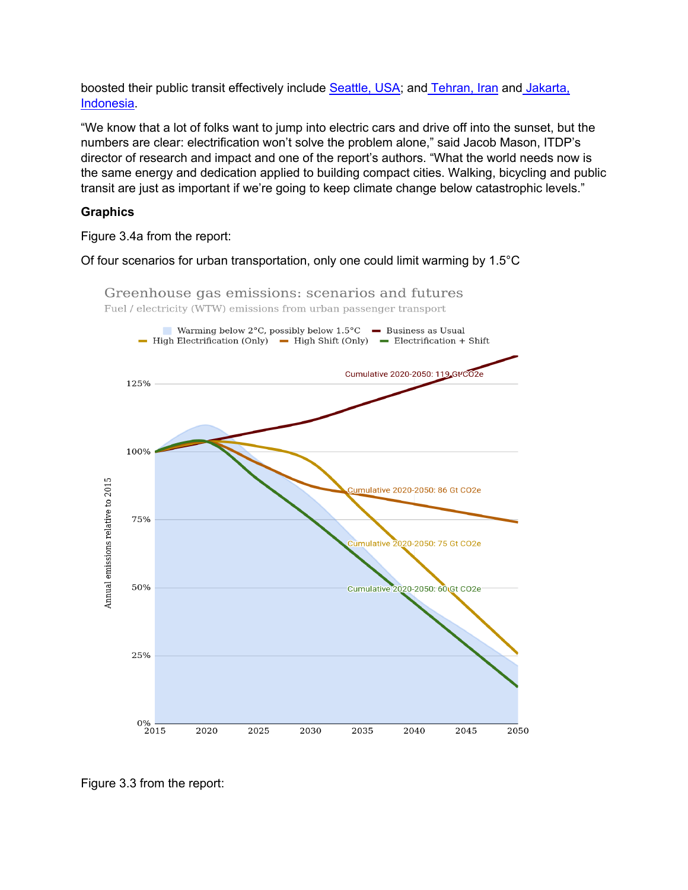boosted their public transit effectively include Seattle, USA; and Tehran, Iran and Jakarta, Indonesia.

"We know that a lot of folks want to jump into electric cars and drive off into the sunset, but the numbers are clear: electrification won't solve the problem alone," said Jacob Mason, ITDP's director of research and impact and one of the report's authors. "What the world needs now is the same energy and dedication applied to building compact cities. Walking, bicycling and public transit are just as important if we're going to keep climate change below catastrophic levels."

### **Graphics**

Figure 3.4a from the report:

Of four scenarios for urban transportation, only one could limit warming by 1.5°C



Greenhouse gas emissions: scenarios and futures Fuel / electricity (WTW) emissions from urban passenger transport

Figure 3.3 from the report: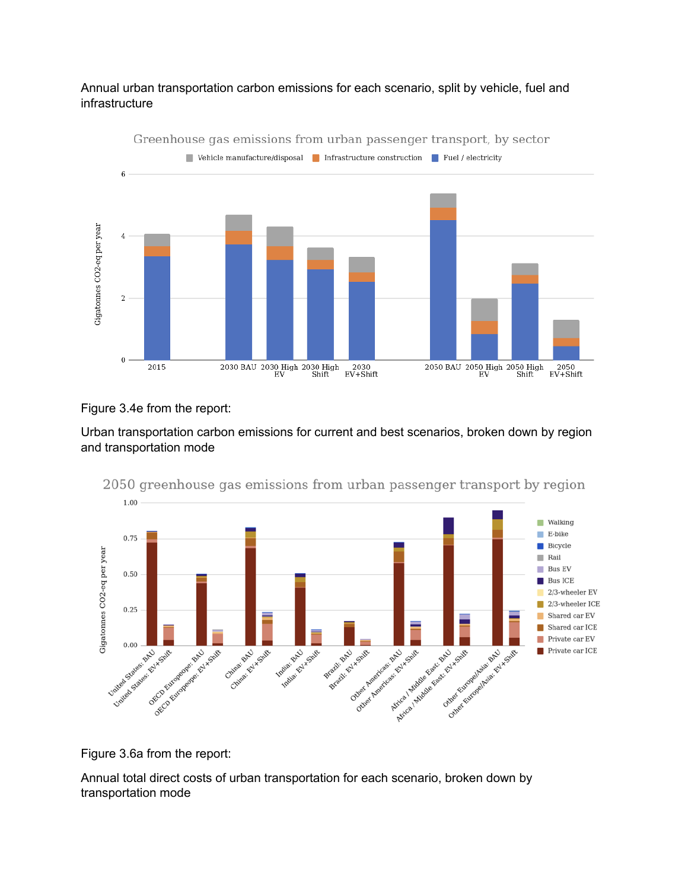#### Annual urban transportation carbon emissions for each scenario, split by vehicle, fuel and infrastructure



Greenhouse gas emissions from urban passenger transport, by sector

#### Figure 3.4e from the report:

Urban transportation carbon emissions for current and best scenarios, broken down by region and transportation mode



2050 greenhouse gas emissions from urban passenger transport by region

Figure 3.6a from the report:

Annual total direct costs of urban transportation for each scenario, broken down by transportation mode